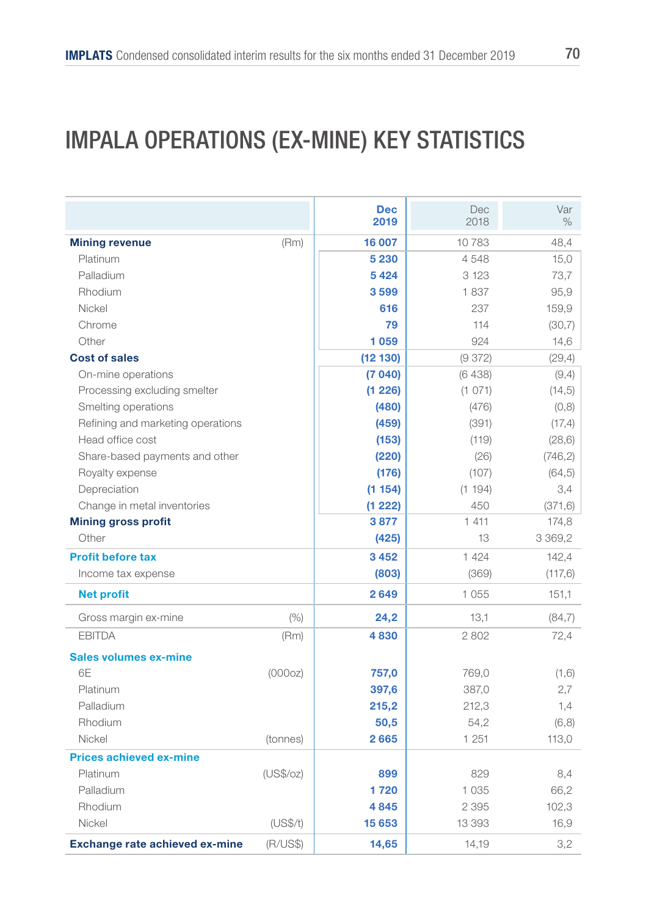### IMPALA OPERATIONS (EX-MINE) KEY STATISTICS

|                                       |           | <b>Dec</b> | Dec     | Var        |
|---------------------------------------|-----------|------------|---------|------------|
|                                       |           | 2019       | 2018    | $\%$       |
| <b>Mining revenue</b>                 | (Rm)      | 16 007     | 10783   | 48,4       |
| Platinum                              |           | 5 2 3 0    | 4548    | 15,0       |
| Palladium                             |           | 5424       | 3 1 2 3 | 73,7       |
| Rhodium                               |           | 3599       | 1837    | 95,9       |
| Nickel                                |           | 616        | 237     | 159,9      |
| Chrome                                |           | 79         | 114     | (30,7)     |
| Other                                 |           | 1059       | 924     | 14,6       |
| <b>Cost of sales</b>                  |           | (12130)    | (9372)  | (29, 4)    |
| On-mine operations                    |           | (7040)     | (6438)  | (9,4)      |
| Processing excluding smelter          |           | (1 226)    | (1 071) | (14, 5)    |
| Smelting operations                   |           | (480)      | (476)   | (0, 8)     |
| Refining and marketing operations     |           | (459)      | (391)   | (17,4)     |
| Head office cost                      |           | (153)      | (119)   | (28, 6)    |
| Share-based payments and other        |           | (220)      | (26)    | (746, 2)   |
| Royalty expense                       |           | (176)      | (107)   | (64, 5)    |
| Depreciation                          |           | (1154)     | (1 194) | 3,4        |
| Change in metal inventories           |           | (1 222)    | 450     | (371, 6)   |
| <b>Mining gross profit</b>            |           | 3877       | 1 4 1 1 | 174,8      |
| Other                                 |           | (425)      | 13      | 3 3 6 9, 2 |
| <b>Profit before tax</b>              |           | 3452       | 1 4 2 4 | 142,4      |
| Income tax expense                    |           | (803)      | (369)   | (117,6)    |
| <b>Net profit</b>                     |           | 2649       | 1055    | 151,1      |
| Gross margin ex-mine                  | (% )      | 24,2       | 13,1    | (84,7)     |
| <b>EBITDA</b>                         | (Rm)      | 4830       | 2802    | 72,4       |
| <b>Sales volumes ex-mine</b>          |           |            |         |            |
| 6F                                    | (000oz)   | 757,0      | 769,0   | (1,6)      |
| Platinum                              |           | 397,6      | 387,0   | 2,7        |
| Palladium                             |           | 215,2      | 212,3   | 1,4        |
| Rhodium                               |           | 50,5       | 54,2    | (6, 8)     |
| Nickel                                | (tonnes)  | 2665       | 1 251   | 113,0      |
| <b>Prices achieved ex-mine</b>        |           |            |         |            |
| Platinum                              | (US\$/oz) | 899        | 829     | 8,4        |
| Palladium                             |           | 1720       | 1 0 3 5 | 66,2       |
| Rhodium                               |           | 4845       | 2 3 9 5 | 102,3      |
| Nickel                                | (US\$/t)  | 15 653     | 13 393  | 16,9       |
| <b>Exchange rate achieved ex-mine</b> | (R/US\$)  | 14,65      | 14,19   | 3,2        |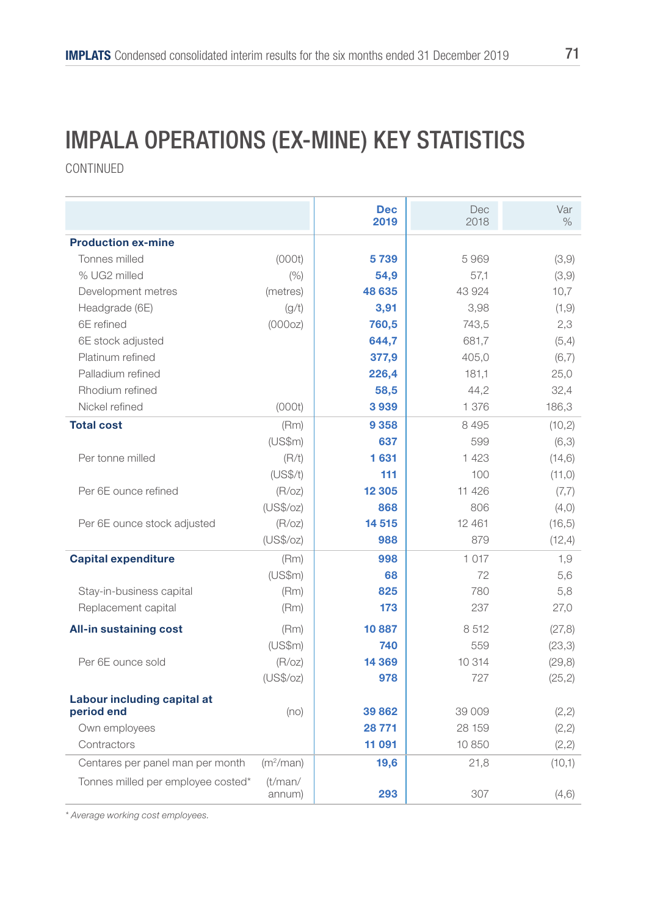### IMPALA OPERATIONS (EX-MINE) KEY STATISTICS

CONTINUED

|                                    |                       | <b>Dec</b><br>2019 | Dec<br>2018 | Var<br>$\%$ |
|------------------------------------|-----------------------|--------------------|-------------|-------------|
| <b>Production ex-mine</b>          |                       |                    |             |             |
| Tonnes milled                      | (000t)                | 5739               | 5969        | (3,9)       |
| % UG2 milled                       | (% )                  | 54,9               | 57,1        | (3,9)       |
| Development metres                 | (metres)              | 48 635             | 43 924      | 10,7        |
| Headgrade (6E)                     | (g/t)                 | 3,91               | 3,98        | (1, 9)      |
| 6E refined                         | (000oz)               | 760,5              | 743,5       | 2,3         |
| 6E stock adjusted                  |                       | 644,7              | 681,7       | (5,4)       |
| Platinum refined                   |                       | 377,9              | 405,0       | (6,7)       |
| Palladium refined                  |                       | 226,4              | 181.1       | 25,0        |
| Rhodium refined                    |                       | 58,5               | 44,2        | 32,4        |
| Nickel refined                     | (000t)                | 3939               | 1 376       | 186,3       |
| <b>Total cost</b>                  | (Rm)                  | 9358               | 8495        | (10, 2)     |
|                                    | (US\$m)               | 637                | 599         | (6,3)       |
| Per tonne milled                   | (R/t)                 | 1631               | 1 423       | (14, 6)     |
|                                    | (US\$/t)              | 111                | 100         | (11, 0)     |
| Per 6E ounce refined               | (R/OZ)                | 12 3 05            | 11 426      | (7,7)       |
|                                    | (US\$/oz)             | 868                | 806         | (4, 0)      |
| Per 6E ounce stock adjusted        | (R/OZ)                | 14 5 15            | 12 4 61     | (16, 5)     |
|                                    | (US\$/oz)             | 988                | 879         | (12, 4)     |
| <b>Capital expenditure</b>         | (Rm)                  | 998                | 1017        | 1,9         |
|                                    | (US\$m)               | 68                 | 72          | 5,6         |
| Stay-in-business capital           | (Rm)                  | 825                | 780         | 5,8         |
| Replacement capital                | (Rm)                  | 173                | 237         | 27,0        |
| <b>All-in sustaining cost</b>      | (Rm)                  | 10887              | 8512        | (27, 8)     |
|                                    | (US\$m)               | 740                | 559         | (23,3)      |
| Per 6E ounce sold                  | (R/OZ)                | 14 3 69            | 10 314      | (29, 8)     |
|                                    | (US\$/oz)             | 978                | 727         | (25, 2)     |
| Labour including capital at        |                       |                    |             |             |
| period end                         | (no)                  | 39862              | 39 009      | (2, 2)      |
| Own employees                      |                       | 28 771             | 28 159      | (2, 2)      |
| Contractors                        |                       | 11 091             | 10 850      | (2, 2)      |
| Centares per panel man per month   | (m <sup>2</sup> /man) | 19,6               | 21,8        | (10,1)      |
| Tonnes milled per employee costed* | (t/man/<br>annum)     | 293                | 307         | (4, 6)      |

*\* Average working cost employees.*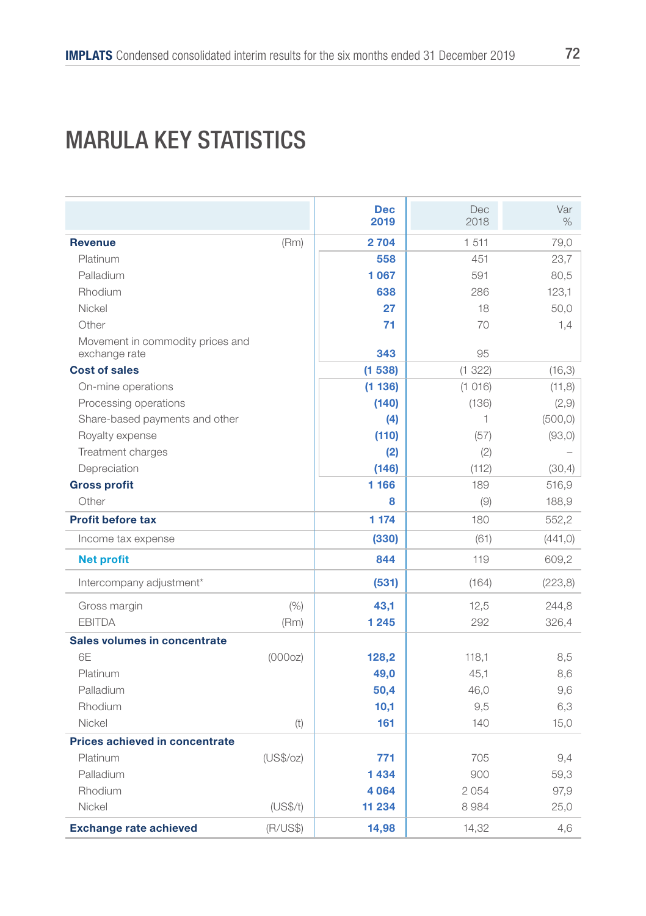### MARULA KEY STATISTICS

|                                                   |           | <b>Dec</b><br>2019 | Dec<br>2018 | Var<br>$\%$ |
|---------------------------------------------------|-----------|--------------------|-------------|-------------|
| <b>Revenue</b>                                    | (Rm)      | 2704               | 1 511       | 79,0        |
| Platinum                                          |           | 558                | 451         | 23,7        |
| Palladium                                         |           | 1067               | 591         | 80,5        |
| Rhodium                                           |           | 638                | 286         | 123,1       |
| Nickel                                            |           | 27                 | 18          | 50,0        |
| Other                                             |           | 71                 | 70          | 1,4         |
| Movement in commodity prices and<br>exchange rate |           | 343                | 95          |             |
| <b>Cost of sales</b>                              |           | (1538)             | (1 322)     | (16, 3)     |
| On-mine operations                                |           | (1136)             | (1016)      | (11,8)      |
| Processing operations                             |           | (140)              | (136)       | (2,9)       |
| Share-based payments and other                    |           | (4)                | 1           | (500, 0)    |
| Royalty expense                                   |           | (110)              | (57)        | (93, 0)     |
| Treatment charges                                 |           | (2)                | (2)         |             |
| Depreciation                                      |           | (146)              | (112)       | (30,4)      |
| <b>Gross profit</b>                               |           | 1 166              | 189         | 516,9       |
| Other                                             |           | 8                  | (9)         | 188,9       |
| <b>Profit before tax</b>                          |           | 1 174              | 180         | 552,2       |
| Income tax expense                                |           | (330)              | (61)        | (441, 0)    |
| <b>Net profit</b>                                 |           | 844                | 119         | 609,2       |
| Intercompany adjustment*                          |           | (531)              | (164)       | (223, 8)    |
| Gross margin                                      | (% )      | 43,1               | 12,5        | 244,8       |
| <b>EBITDA</b>                                     | (Rm)      | 1 2 4 5            | 292         | 326,4       |
| Sales volumes in concentrate                      |           |                    |             |             |
| 6F                                                | (000oz)   | 128,2              | 118,1       | 8,5         |
| Platinum                                          |           | 49,0               | 45.1        | 8,6         |
| Palladium                                         |           | 50,4               | 46,0        | 9,6         |
| Rhodium                                           |           | 10,1               | 9,5         | 6,3         |
| Nickel                                            | (t)       | 161                | 140         | 15,0        |
| Prices achieved in concentrate                    |           |                    |             |             |
| Platinum                                          | (US\$/oz) | 771                | 705         | 9,4         |
| Palladium                                         |           | 1434               | 900         | 59,3        |
| Rhodium                                           |           | 4064               | 2054        | 97,9        |
| Nickel                                            | (US\$/t)  | 11 234             | 8984        | 25,0        |
| <b>Exchange rate achieved</b>                     | (R/US\$)  | 14,98              | 14,32       | 4,6         |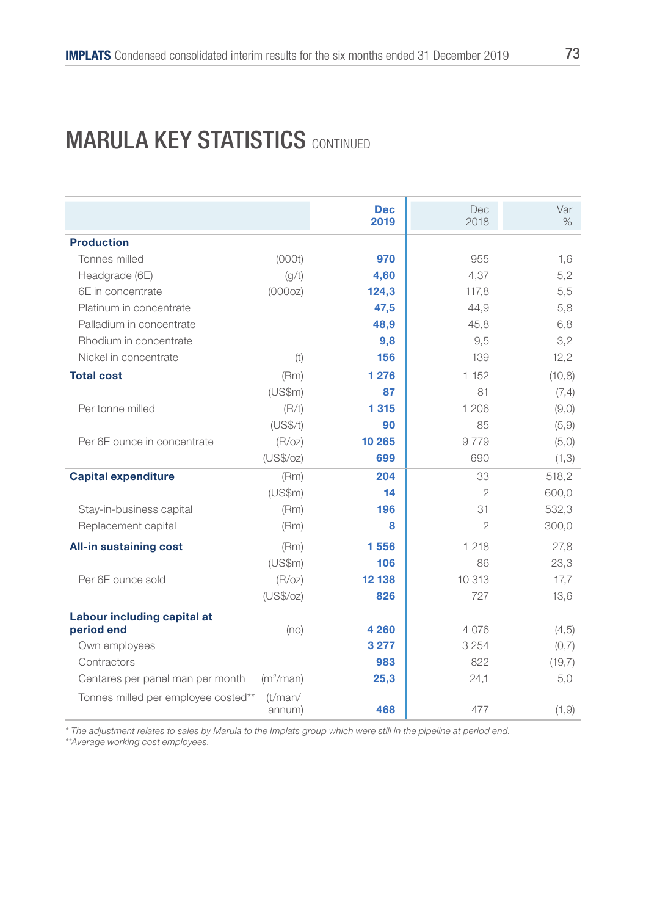#### **MARULA KEY STATISTICS CONTINUED**

|                                     |                       | <b>Dec</b><br>2019 | <b>Dec</b><br>2018 | Var<br>$\%$ |
|-------------------------------------|-----------------------|--------------------|--------------------|-------------|
| <b>Production</b>                   |                       |                    |                    |             |
| Tonnes milled                       | (000t)                | 970                | 955                | 1,6         |
| Headgrade (6E)                      | (g/t)                 | 4,60               | 4,37               | 5,2         |
| 6E in concentrate                   | (000oz)               | 124,3              | 117,8              | 5,5         |
| Platinum in concentrate             |                       | 47,5               | 44,9               | 5,8         |
| Palladium in concentrate            |                       | 48,9               | 45,8               | 6,8         |
| Rhodium in concentrate              |                       | 9,8                | 9,5                | 3,2         |
| Nickel in concentrate               | (t)                   | 156                | 139                | 12,2        |
| <b>Total cost</b>                   | (Rm)                  | 1 2 7 6            | 1 152              | (10, 8)     |
|                                     | (US\$m)               | 87                 | 81                 | (7,4)       |
| Per tonne milled                    | (R/t)                 | 1315               | 1 206              | (9,0)       |
|                                     | (US\$/t)              | 90                 | 85                 | (5,9)       |
| Per 6E ounce in concentrate         | (R/OZ)                | 10 265             | 9 7 7 9            | (5,0)       |
|                                     | (US\$/oz)             | 699                | 690                | (1,3)       |
| <b>Capital expenditure</b>          | (Rm)                  | 204                | 33                 | 518,2       |
|                                     | (US\$m)               | 14                 | $\mathfrak{D}$     | 600,0       |
| Stay-in-business capital            | (Rm)                  | 196                | 31                 | 532,3       |
| Replacement capital                 | (Rm)                  | 8                  | $\overline{2}$     | 300,0       |
| <b>All-in sustaining cost</b>       | (Rm)                  | 1556               | 1 218              | 27,8        |
|                                     | (US\$m)               | 106                | 86                 | 23,3        |
| Per 6E ounce sold                   | (R/OZ)                | 12 138             | 10 313             | 17,7        |
|                                     | (US\$/oz)             | 826                | 727                | 13,6        |
| Labour including capital at         |                       |                    |                    |             |
| period end                          | (no)                  | 4 2 6 0            | 4 0 7 6            | (4, 5)      |
| Own employees                       |                       | 3 2 7 7            | 3 2 5 4            | (0,7)       |
| Contractors                         |                       | 983                | 822                | (19,7)      |
| Centares per panel man per month    | (m <sup>2</sup> /man) | 25,3               | 24,1               | 5,0         |
| Tonnes milled per employee costed** | (t/man/<br>annum)     | 468                | 477                | (1, 9)      |

*\* The adjustment relates to sales by Marula to the Implats group which were still in the pipeline at period end.*

*\*\*Average working cost employees.*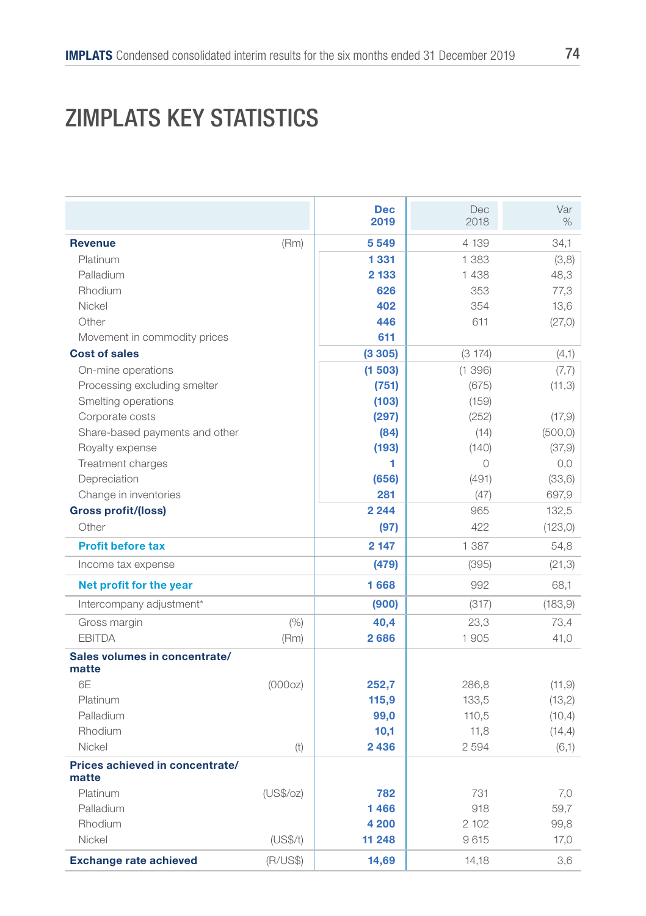# ZIMPLATS KEY STATISTICS

|                                        |           | <b>Dec</b><br>2019 | Dec<br>2018 | Var<br>$\%$ |
|----------------------------------------|-----------|--------------------|-------------|-------------|
| <b>Revenue</b>                         | (Rm)      | 5549               | 4 139       | 34,1        |
| Platinum                               |           | 1 3 3 1            | 1 3 8 3     | (3,8)       |
| Palladium                              |           | 2 1 3 3            | 1438        | 48,3        |
| Rhodium                                |           | 626                | 353         | 77,3        |
| Nickel                                 |           | 402                | 354         | 13,6        |
| Other                                  |           | 446                | 611         | (27,0)      |
| Movement in commodity prices           |           | 611                |             |             |
| <b>Cost of sales</b>                   |           | (3305)             | (3174)      | (4,1)       |
| On-mine operations                     |           | (1503)             | (1396)      | (7,7)       |
| Processing excluding smelter           |           | (751)              | (675)       | (11,3)      |
| Smelting operations                    |           | (103)              | (159)       |             |
| Corporate costs                        |           | (297)              | (252)       | (17, 9)     |
| Share-based payments and other         |           | (84)               | (14)        | (500, 0)    |
| Royalty expense                        |           | (193)              | (140)       | (37, 9)     |
| Treatment charges                      |           | 1                  | 0           | 0,0         |
| Depreciation                           |           | (656)              | (491)       | (33,6)      |
| Change in inventories                  |           | 281                | (47)        | 697,9       |
| <b>Gross profit/(loss)</b>             |           | 2 2 4 4            | 965         | 132,5       |
| Other                                  |           | (97)               | 422         | (123, 0)    |
| <b>Profit before tax</b>               |           | 2 1 4 7            | 1 387       | 54,8        |
| Income tax expense                     |           | (479)              | (395)       | (21,3)      |
| Net profit for the year                |           | 1668               | 992         | 68,1        |
| Intercompany adjustment*               |           | (900)              | (317)       | (183, 9)    |
| Gross margin                           | (% )      | 40,4               | 23,3        | 73,4        |
| <b>FBITDA</b>                          | (Rm)      | 2686               | 1905        | 41,0        |
| Sales volumes in concentrate/<br>matte |           |                    |             |             |
| 6F                                     | (000oz)   | 252,7              | 286,8       | (11, 9)     |
| Platinum                               |           | 115,9              | 133,5       | (13,2)      |
| Palladium                              |           | 99,0               | 110,5       | (10, 4)     |
| Rhodium                                |           | 10,1               | 11,8        | (14, 4)     |
| Nickel                                 | (t)       | 2436               | 2594        | (6,1)       |
| Prices achieved in concentrate/        |           |                    |             |             |
| matte<br>Platinum                      | (US\$/oz) | 782                | 731         |             |
| Palladium                              |           | 1466               | 918         | 7,0<br>59,7 |
| Rhodium                                |           | 4 200              | 2 102       | 99,8        |
| Nickel                                 | (US\$/t)  | 11 248             | 9615        | 17,0        |
| <b>Exchange rate achieved</b>          | (R/US\$)  | 14,69              | 14,18       | 3,6         |
|                                        |           |                    |             |             |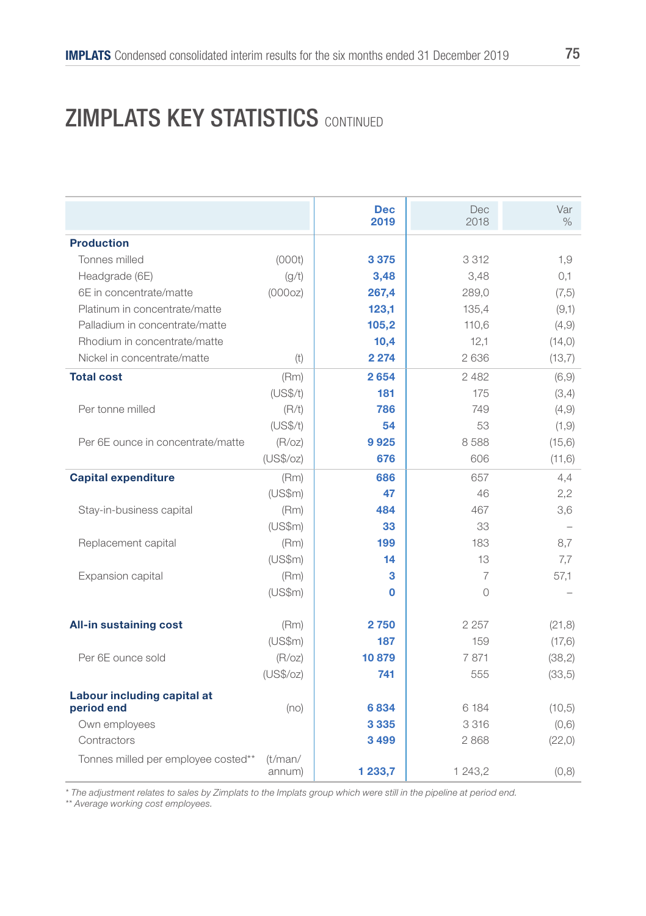### **ZIMPLATS KEY STATISTICS CONTINUED**

|                                     |                   | <b>Dec</b><br>2019 | Dec<br>2018 | Var<br>$\%$ |
|-------------------------------------|-------------------|--------------------|-------------|-------------|
| <b>Production</b>                   |                   |                    |             |             |
| Tonnes milled                       | (000t)            | 3 3 7 5            | 3 3 1 2     | 1,9         |
| Headgrade (6E)                      | (g/t)             | 3,48               | 3,48        | 0,1         |
| 6E in concentrate/matte             | (000oz)           | 267,4              | 289,0       | (7, 5)      |
| Platinum in concentrate/matte       |                   | 123,1              | 135,4       | (9,1)       |
| Palladium in concentrate/matte      |                   | 105,2              | 110,6       | (4, 9)      |
| Rhodium in concentrate/matte        |                   | 10,4               | 12,1        | (14, 0)     |
| Nickel in concentrate/matte         | (t)               | 2 2 7 4            | 2636        | (13,7)      |
| <b>Total cost</b>                   | (Rm)              | 2654               | 2482        | (6, 9)      |
|                                     | (US\$/t)          | 181                | 175         | (3,4)       |
| Per tonne milled                    | (R/t)             | 786                | 749         | (4, 9)      |
|                                     | (US\$/t)          | 54                 | 53          | (1, 9)      |
| Per 6E ounce in concentrate/matte   | (R/OZ)            | 9925               | 8588        | (15, 6)     |
|                                     | (US\$/oz)         | 676                | 606         | (11,6)      |
| <b>Capital expenditure</b>          | (Rm)              | 686                | 657         | 4,4         |
|                                     | (US\$m)           | 47                 | 46          | 2,2         |
| Stay-in-business capital            | (Rm)              | 484                | 467         | 3,6         |
|                                     | (US\$m)           | 33                 | 33          |             |
| Replacement capital                 | (Rm)              | 199                | 183         | 8,7         |
|                                     | (US\$m)           | 14                 | 13          | 7,7         |
| Expansion capital                   | (Rm)              | з                  | 7           | 57,1        |
|                                     | (US\$m)           | 0                  | $\bigcirc$  |             |
| <b>All-in sustaining cost</b>       | (Rm)              | 2750               | 2 2 5 7     | (21, 8)     |
|                                     | (US\$m)           | 187                | 159         | (17, 6)     |
| Per 6E ounce sold                   | (R/OZ)            | 10879              | 7871        | (38, 2)     |
|                                     | (US\$/oz)         | 741                | 555         | (33,5)      |
| Labour including capital at         |                   |                    |             |             |
| period end                          | (no)              | 6834               | 6 184       | (10,5)      |
| Own employees                       |                   | 3 3 3 5            | 3316        | (0,6)       |
| Contractors                         |                   | 3499               | 2868        | (22,0)      |
| Tonnes milled per employee costed** | (t/man/<br>annum) | 1 233,7            | 1 243,2     | (0, 8)      |

*\* The adjustment relates to sales by Zimplats to the Implats group which were still in the pipeline at period end. \*\* Average working cost employees.*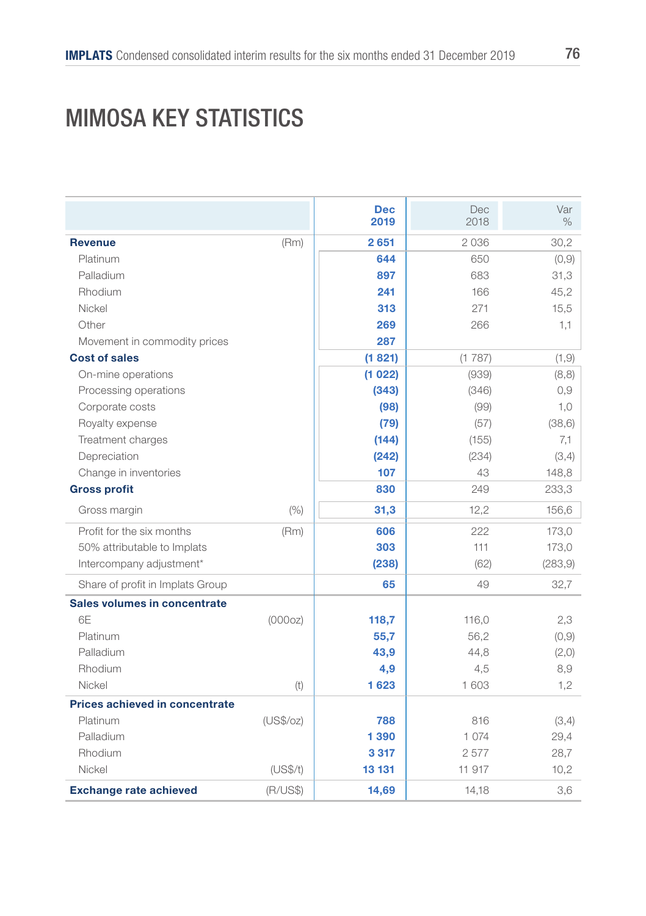# MIMOSA KEY STATISTICS

|                                  |           | <b>Dec</b><br>2019 | Dec<br>2018 | Var<br>$\%$ |
|----------------------------------|-----------|--------------------|-------------|-------------|
|                                  |           |                    |             |             |
| <b>Revenue</b><br>Platinum       | (Rm)      | 2651<br>644        | 2036        | 30,2        |
|                                  |           |                    | 650         | (0, 9)      |
| Palladium                        |           | 897                | 683         | 31,3        |
| Rhodium                          |           | 241                | 166         | 45,2        |
| Nickel                           |           | 313                | 271         | 15,5        |
| Other                            |           | 269                | 266         | 1,1         |
| Movement in commodity prices     |           | 287                |             |             |
| <b>Cost of sales</b>             |           | (1821)             | (1787)      | (1, 9)      |
| On-mine operations               |           | (1022)             | (939)       | (8, 8)      |
| Processing operations            |           | (343)              | (346)       | 0,9         |
| Corporate costs                  |           | (98)               | (99)        | 1,0         |
| Royalty expense                  |           | (79)               | (57)        | (38, 6)     |
| Treatment charges                |           | (144)              | (155)       | 7,1         |
| Depreciation                     |           | (242)              | (234)       | (3,4)       |
| Change in inventories            |           | 107                | 43          | 148,8       |
| <b>Gross profit</b>              |           | 830                | 249         | 233,3       |
| Gross margin                     | (% )      | 31,3               | 12,2        | 156,6       |
| Profit for the six months        | (Rm)      | 606                | 222         | 173,0       |
| 50% attributable to Implats      |           | 303                | 111         | 173,0       |
| Intercompany adjustment*         |           | (238)              | (62)        | (283, 9)    |
| Share of profit in Implats Group |           | 65                 | 49          | 32,7        |
| Sales volumes in concentrate     |           |                    |             |             |
| 6F                               | (000oz)   | 118,7              | 116,0       | 2,3         |
| Platinum                         |           | 55,7               | 56,2        | (0, 9)      |
| Palladium                        |           | 43,9               | 44,8        | (2, 0)      |
| Rhodium                          |           | 4,9                | 4,5         | 8,9         |
| Nickel                           | (t)       | 1623               | 1 603       | 1,2         |
| Prices achieved in concentrate   |           |                    |             |             |
| Platinum                         | (US\$/oz) | 788                | 816         | (3,4)       |
| Palladium                        |           | 1390               | 1074        | 29,4        |
| Rhodium                          |           | 3317               | 2577        | 28,7        |
| Nickel                           | (US\$/t)  | 13 131             | 11 917      | 10,2        |
| <b>Exchange rate achieved</b>    | (R/US\$)  | 14,69              | 14,18       | 3,6         |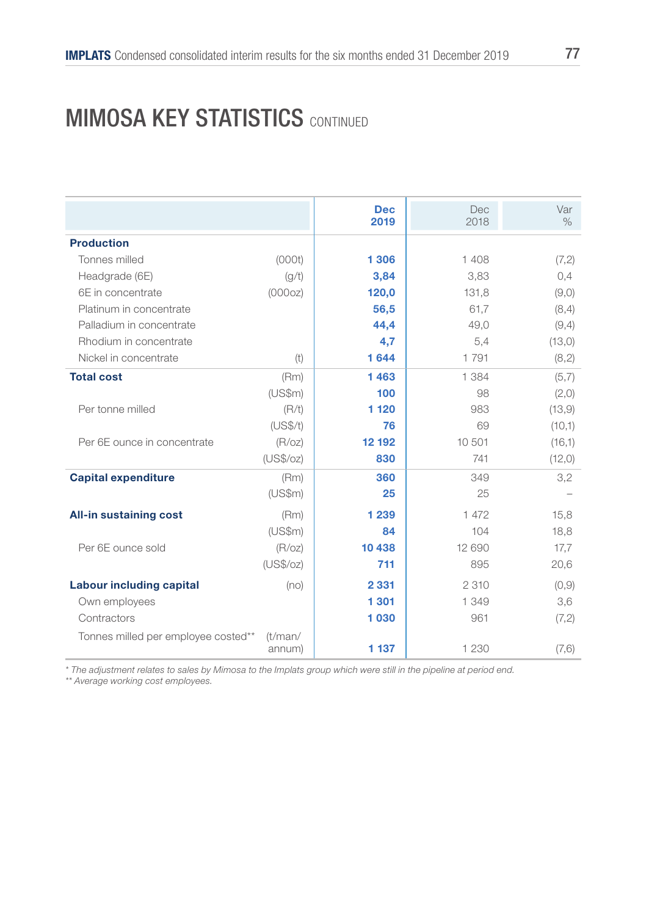#### **MIMOSA KEY STATISTICS CONTINUED**

|                                     |           | <b>Dec</b><br>2019 | Dec<br>2018 | Var<br>$\%$ |
|-------------------------------------|-----------|--------------------|-------------|-------------|
| <b>Production</b>                   |           |                    |             |             |
| Tonnes milled                       | (000t)    | 1 306              | 1408        | (7,2)       |
| Headgrade (6E)                      | (q/t)     | 3,84               | 3,83        | 0,4         |
| 6E in concentrate                   | (000oz)   | 120,0              | 131,8       | (9,0)       |
| Platinum in concentrate             |           | 56,5               | 61.7        | (8,4)       |
| Palladium in concentrate            |           | 44,4               | 49,0        | (9,4)       |
| Rhodium in concentrate              |           | 4,7                | 5,4         | (13,0)      |
| Nickel in concentrate               | (t)       | 1644               | 1791        | (8,2)       |
| <b>Total cost</b>                   | (Rm)      | 1463               | 1 384       | (5,7)       |
|                                     | (US\$m)   | 100                | 98          | (2,0)       |
| Per tonne milled                    | (R/t)     | 1 1 2 0            | 983         | (13, 9)     |
|                                     | (US\$/t)  | 76                 | 69          | (10,1)      |
| Per 6E ounce in concentrate         | (R/OZ)    | 12 192             | 10 501      | (16,1)      |
|                                     | (US\$/oz) | 830                | 741         | (12,0)      |
| <b>Capital expenditure</b>          | (Rm)      | 360                | 349         | 3,2         |
|                                     | (US\$m)   | 25                 | 25          |             |
| <b>All-in sustaining cost</b>       | (Rm)      | 1 2 3 9            | 1 472       | 15,8        |
|                                     | (US\$m)   | 84                 | 104         | 18,8        |
| Per 6E ounce sold                   | (R/OZ)    | 10 438             | 12 690      | 17,7        |
|                                     | (US\$/oz) | 711                | 895         | 20,6        |
| <b>Labour including capital</b>     | (no)      | 2 3 3 1            | 2 3 1 0     | (0, 9)      |
| Own employees                       |           | 1 301              | 1 349       | 3,6         |
| Contractors                         |           | 1030               | 961         | (7,2)       |
| Tonnes milled per employee costed** | (t/man/   |                    |             |             |
|                                     | annum)    | 1 1 3 7            | 1 2 3 0     | (7, 6)      |

*\* The adjustment relates to sales by Mimosa to the Implats group which were still in the pipeline at period end. \*\* Average working cost employees.*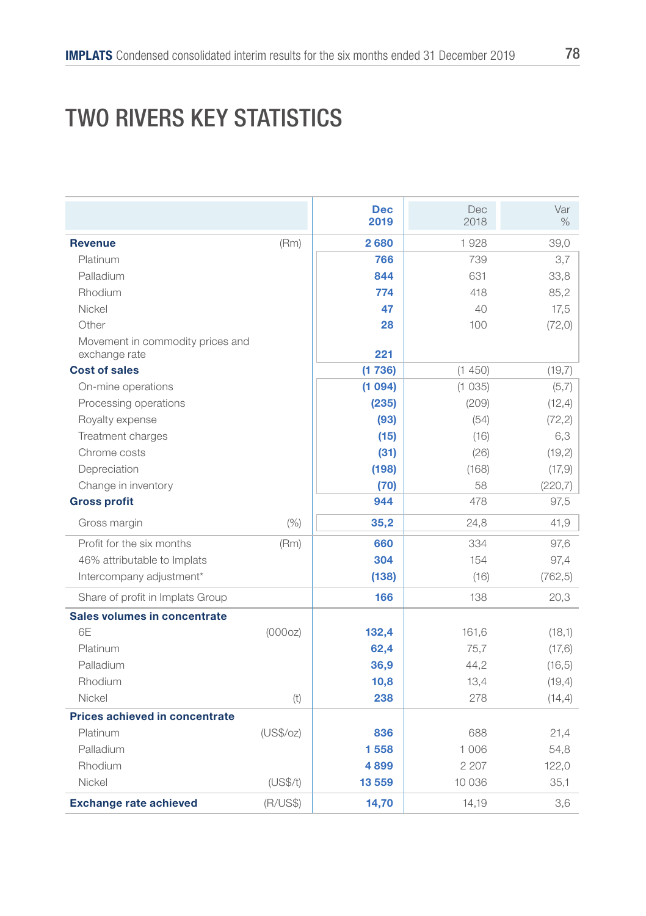# TWO RIVERS KEY STATISTICS

|                                                   |           | <b>Dec</b><br>2019 | <b>Dec</b><br>2018 | Var<br>$\%$ |
|---------------------------------------------------|-----------|--------------------|--------------------|-------------|
| <b>Revenue</b>                                    | (Rm)      | 2680               | 1928               | 39,0        |
| Platinum                                          |           | 766                | 739                | 3,7         |
| Palladium                                         |           | 844                | 631                | 33,8        |
| Rhodium                                           |           | 774                | 418                | 85,2        |
| Nickel                                            |           | 47                 | 40                 | 17,5        |
| Other                                             |           | 28                 | 100                | (72, 0)     |
| Movement in commodity prices and<br>exchange rate |           | 221                |                    |             |
| <b>Cost of sales</b>                              |           | (1736)             | (1450)             | (19,7)      |
| On-mine operations                                |           | (1094)             | (1035)             | (5,7)       |
| Processing operations                             |           | (235)              | (209)              | (12, 4)     |
| Royalty expense                                   |           | (93)               | (54)               | (72, 2)     |
| Treatment charges                                 |           | (15)               | (16)               | 6,3         |
| Chrome costs                                      |           | (31)               | (26)               | (19, 2)     |
| Depreciation                                      |           | (198)              | (168)              | (17,9)      |
| Change in inventory                               |           | (70)               | 58                 | (220,7)     |
| <b>Gross profit</b>                               |           | 944                | 478                | 97,5        |
| Gross margin                                      | (% )      | 35,2               | 24,8               | 41,9        |
| Profit for the six months                         | (Rm)      | 660                | 334                | 97,6        |
| 46% attributable to Implats                       |           | 304                | 154                | 97,4        |
| Intercompany adjustment*                          |           | (138)              | (16)               | (762, 5)    |
| Share of profit in Implats Group                  |           | 166                | 138                | 20,3        |
| Sales volumes in concentrate                      |           |                    |                    |             |
| 6F                                                | (000oz)   | 132,4              | 161,6              | (18,1)      |
| Platinum                                          |           | 62,4               | 75,7               | (17, 6)     |
| Palladium                                         |           | 36,9               | 44,2               | (16, 5)     |
| Rhodium                                           |           | 10,8               | 13,4               | (19,4)      |
| Nickel                                            | (t)       | 238                | 278                | (14, 4)     |
| Prices achieved in concentrate                    |           |                    |                    |             |
| Platinum                                          | (US\$/oz) | 836                | 688                | 21,4        |
| Palladium                                         |           | 1558               | 1 0 0 6            | 54,8        |
| Rhodium                                           |           | 4899               | 2 2 0 7            | 122,0       |
| Nickel                                            | (US\$/t)  | 13559              | 10 0 36            | 35,1        |
| <b>Exchange rate achieved</b>                     | (R/US\$)  | 14,70              | 14,19              | 3.6         |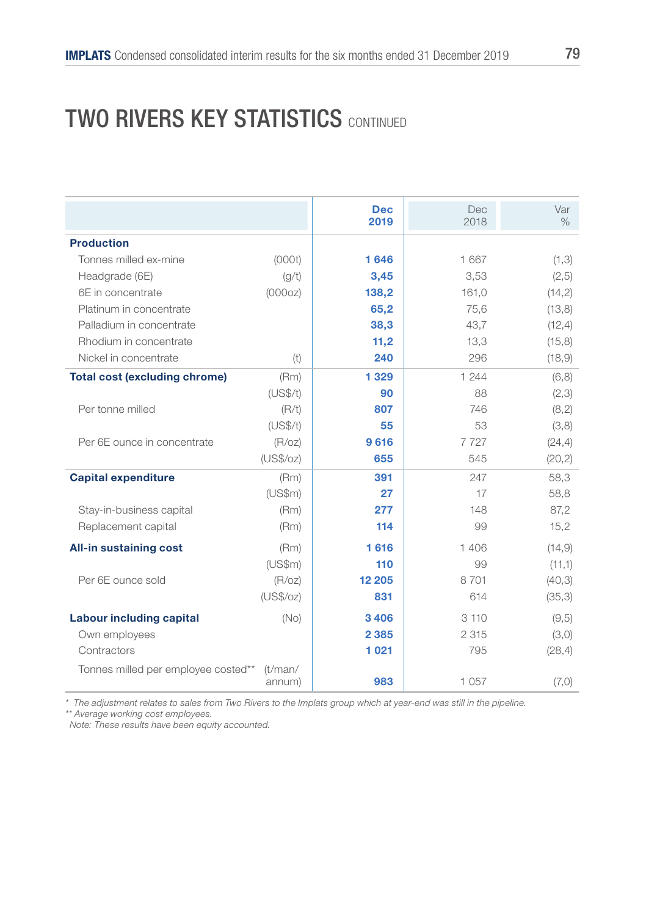### **TWO RIVERS KEY STATISTICS CONTINUED**

|                                      |                   | <b>Dec</b><br>2019 | <b>Dec</b><br>2018 | Var<br>$\%$ |
|--------------------------------------|-------------------|--------------------|--------------------|-------------|
| <b>Production</b>                    |                   |                    |                    |             |
| Tonnes milled ex-mine                | (000t)            | 1646               | 1667               | (1,3)       |
| Headgrade (6E)                       | (g/t)             | 3,45               | 3,53               | (2,5)       |
| 6E in concentrate                    | (000oz)           | 138,2              | 161.0              | (14,2)      |
| Platinum in concentrate              |                   | 65,2               | 75,6               | (13, 8)     |
| Palladium in concentrate             |                   | 38,3               | 43,7               | (12, 4)     |
| Rhodium in concentrate               |                   | 11,2               | 13,3               | (15,8)      |
| Nickel in concentrate                | (t)               | 240                | 296                | (18, 9)     |
| <b>Total cost (excluding chrome)</b> | (Rm)              | 1 3 2 9            | 1 244              | (6,8)       |
|                                      | (US\$/t)          | 90                 | 88                 | (2,3)       |
| Per tonne milled                     | (R/t)             | 807                | 746                | (8,2)       |
|                                      | (US\$/t)          | 55                 | 53                 | (3,8)       |
| Per 6E ounce in concentrate          | (R/OZ)            | 9616               | 7727               | (24, 4)     |
|                                      | (US\$/oz)         | 655                | 545                | (20, 2)     |
| <b>Capital expenditure</b>           | (Rm)              | 391                | 247                | 58,3        |
|                                      | (US\$m)           | 27                 | 17                 | 58,8        |
| Stay-in-business capital             | (Rm)              | 277                | 148                | 87,2        |
| Replacement capital                  | (Rm)              | 114                | 99                 | 15,2        |
| <b>All-in sustaining cost</b>        | (Rm)              | 1616               | 1406               | (14.9)      |
|                                      | (US\$m)           | 110                | 99                 | (11,1)      |
| Per 6E ounce sold                    | (R/OZ)            | 12 205             | 8701               | (40,3)      |
|                                      | (US\$/oz)         | 831                | 614                | (35,3)      |
| <b>Labour including capital</b>      | (No)              | 3406               | 3110               | (9,5)       |
| Own employees                        |                   | 2 3 8 5            | 2 3 1 5            | (3,0)       |
| Contractors                          |                   | 1021               | 795                | (28, 4)     |
| Tonnes milled per employee costed**  | (t/man/<br>annum) | 983                | 1057               | (7,0)       |

*\* The adjustment relates to sales from Two Rivers to the Implats group which at year-end was still in the pipeline. \*\* Average working cost employees. Note: These results have been equity accounted.*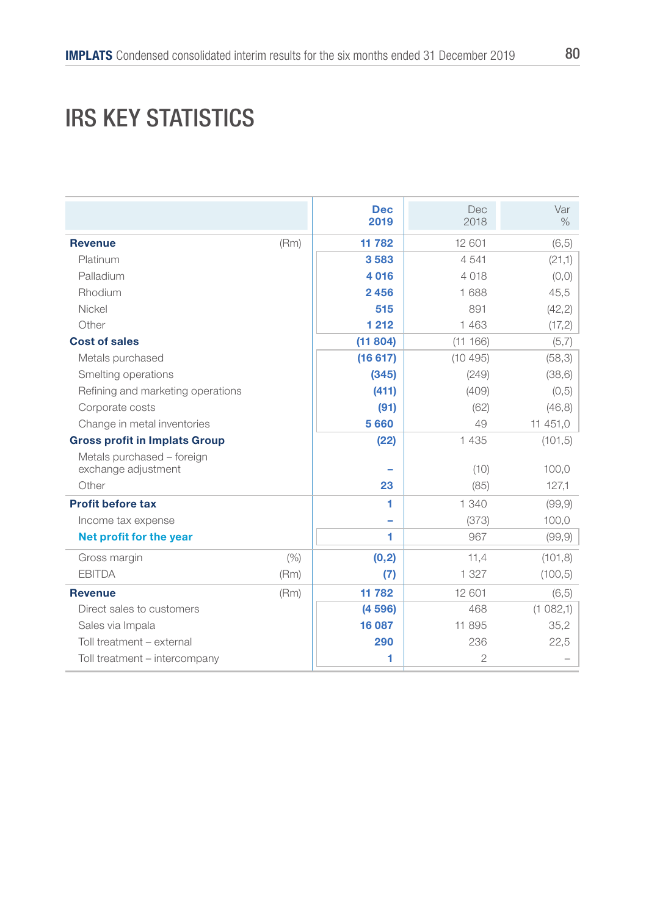### IRS KEY STATISTICS

| <b>Revenue</b><br>Platinum<br>Palladium<br>Rhodium<br>Nickel<br>Other | (Rm) | <b>Dec</b><br>2019<br>11 782<br>3583<br>4016 | <b>Dec</b><br>2018<br>12 601<br>4541<br>4 0 18 | Var<br>$\%$<br>(6, 5)<br>(21,1) |
|-----------------------------------------------------------------------|------|----------------------------------------------|------------------------------------------------|---------------------------------|
|                                                                       |      |                                              |                                                |                                 |
|                                                                       |      |                                              |                                                |                                 |
|                                                                       |      |                                              |                                                |                                 |
|                                                                       |      |                                              |                                                | (0,0)                           |
|                                                                       |      | 2456                                         | 1 688                                          | 45,5                            |
|                                                                       |      | 515                                          | 891                                            | (42, 2)                         |
|                                                                       |      | 1 2 1 2                                      | 1463                                           | (17, 2)                         |
| <b>Cost of sales</b>                                                  |      | (11804)                                      | (11166)                                        | (5,7)                           |
| Metals purchased                                                      |      | (16617)                                      | (10495)                                        | (58,3)                          |
| Smelting operations                                                   |      | (345)                                        | (249)                                          | (38, 6)                         |
| Refining and marketing operations                                     |      | (411)                                        | (409)                                          | (0,5)                           |
| Corporate costs                                                       |      | (91)                                         | (62)                                           | (46, 8)                         |
| Change in metal inventories                                           |      | 5660                                         | 49                                             | 11 451,0                        |
| <b>Gross profit in Implats Group</b>                                  |      | (22)                                         | 1 4 3 5                                        | (101, 5)                        |
| Metals purchased - foreign                                            |      |                                              |                                                |                                 |
| exchange adjustment                                                   |      |                                              | (10)                                           | 100,0                           |
| Other                                                                 |      | 23                                           | (85)                                           | 127,1                           |
| <b>Profit before tax</b>                                              |      | 1                                            | 1 340                                          | (99, 9)                         |
| Income tax expense                                                    |      |                                              | (373)                                          | 100,0                           |
| Net profit for the year                                               |      | 1                                            | 967                                            | (99, 9)                         |
| Gross margin                                                          | (% ) | (0, 2)                                       | 11,4                                           | (101, 8)                        |
| <b>EBITDA</b>                                                         | (Rm) | (7)                                          | 1 3 2 7                                        | (100, 5)                        |
| <b>Revenue</b>                                                        | (Rm) | 11782                                        | 12 601                                         | (6, 5)                          |
| Direct sales to customers                                             |      | (4596)                                       | 468                                            | (1082,1)                        |
| Sales via Impala                                                      |      | 16 087                                       | 11 895                                         | 35,2                            |
|                                                                       |      | 290                                          | 236                                            | 22,5                            |
| Toll treatment - external                                             |      |                                              |                                                |                                 |
|                                                                       |      |                                              |                                                |                                 |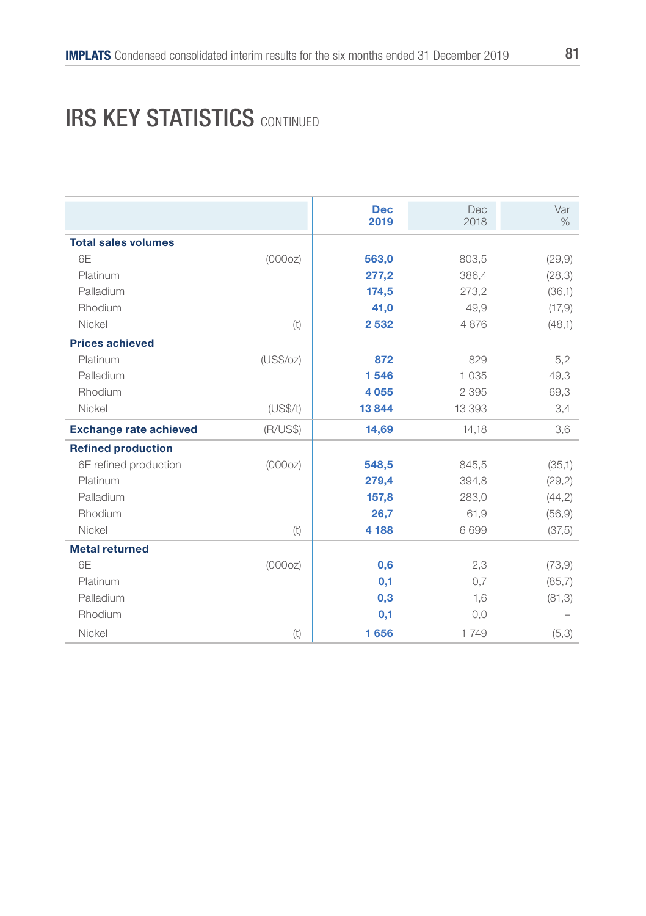#### **IRS KEY STATISTICS CONTINUED**

|                               |           | <b>Dec</b><br>2019 | <b>Dec</b><br>2018 | Var<br>$\%$ |
|-------------------------------|-----------|--------------------|--------------------|-------------|
| <b>Total sales volumes</b>    |           |                    |                    |             |
| 6F                            | (000oz)   | 563,0              | 803,5              | (29, 9)     |
| Platinum                      |           | 277,2              | 386,4              | (28, 3)     |
| Palladium                     |           | 174,5              | 273,2              | (36,1)      |
| Rhodium                       |           | 41,0               | 49,9               | (17, 9)     |
| Nickel                        | (t)       | 2532               | 4876               | (48,1)      |
| <b>Prices achieved</b>        |           |                    |                    |             |
| Platinum                      | (US\$/oz) | 872                | 829                | 5,2         |
| Palladium                     |           | 1546               | 1035               | 49,3        |
| Rhodium                       |           | 4 0 5 5            | 2 3 9 5            | 69,3        |
| Nickel                        | (US\$/t)  | 13844              | 13 393             | 3,4         |
| <b>Exchange rate achieved</b> | (R/US\$)  | 14,69              | 14,18              | 3,6         |
| <b>Refined production</b>     |           |                    |                    |             |
| 6E refined production         | (000oz)   | 548,5              | 845,5              | (35,1)      |
| Platinum                      |           | 279,4              | 394,8              | (29, 2)     |
| Palladium                     |           | 157,8              | 283,0              | (44,2)      |
| Rhodium                       |           | 26,7               | 61,9               | (56, 9)     |
| Nickel                        | (t)       | 4 188              | 6699               | (37,5)      |
| <b>Metal returned</b>         |           |                    |                    |             |
| 6E                            | (000oz)   | 0,6                | 2,3                | (73, 9)     |
| Platinum                      |           | 0,1                | 0,7                | (85,7)      |
| Palladium                     |           | 0,3                | 1,6                | (81,3)      |
| Rhodium                       |           | 0,1                | 0,0                |             |
| Nickel                        | (t)       | 1656               | 1749               | (5,3)       |